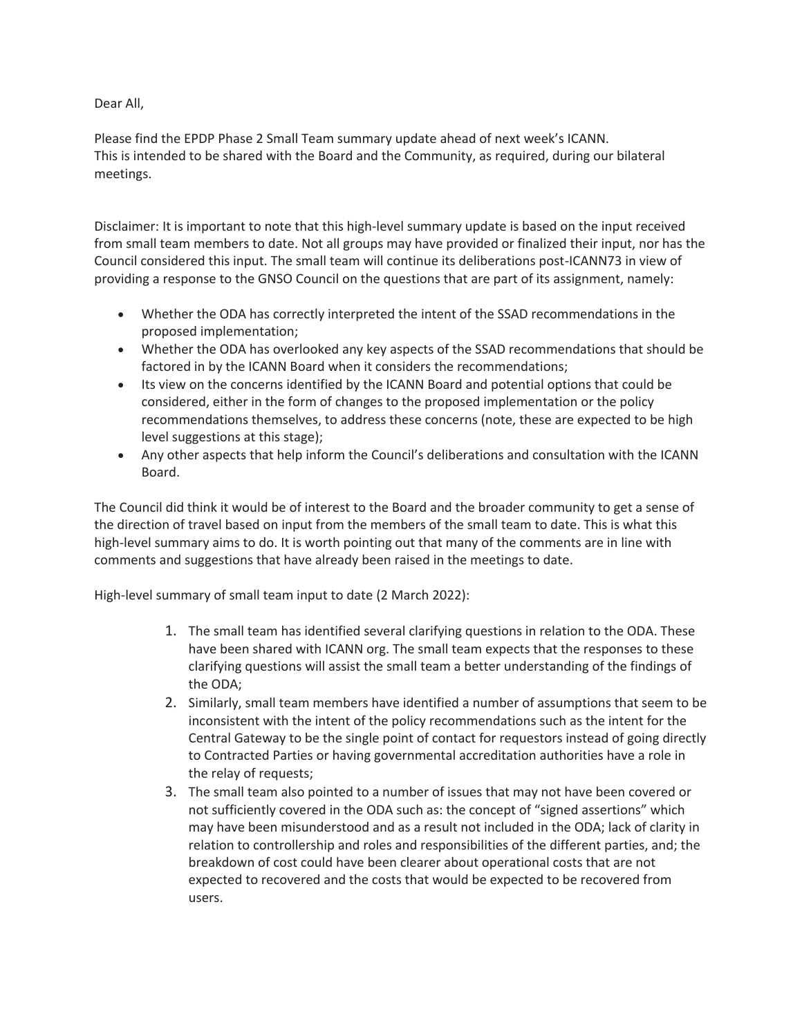Dear All,

Please find the EPDP Phase 2 Small Team summary update ahead of next week's ICANN. This is intended to be shared with the Board and the Community, as required, during our bilateral meetings.

Disclaimer: It is important to note that this high-level summary update is based on the input received from small team members to date. Not all groups may have provided or finalized their input, nor has the Council considered this input. The small team will continue its deliberations post-ICANN73 in view of providing a response to the GNSO Council on the questions that are part of its assignment, namely:

- Whether the ODA has correctly interpreted the intent of the SSAD recommendations in the proposed implementation;
- Whether the ODA has overlooked any key aspects of the SSAD recommendations that should be factored in by the ICANN Board when it considers the recommendations;
- Its view on the concerns identified by the ICANN Board and potential options that could be considered, either in the form of changes to the proposed implementation or the policy recommendations themselves, to address these concerns (note, these are expected to be high level suggestions at this stage);
- Any other aspects that help inform the Council's deliberations and consultation with the ICANN Board.

The Council did think it would be of interest to the Board and the broader community to get a sense of the direction of travel based on input from the members of the small team to date. This is what this high-level summary aims to do. It is worth pointing out that many of the comments are in line with comments and suggestions that have already been raised in the meetings to date.

High-level summary of small team input to date (2 March 2022):

- 1. The small team has identified several clarifying questions in relation to the ODA. These have been shared with ICANN org. The small team expects that the responses to these clarifying questions will assist the small team a better understanding of the findings of the ODA;
- 2. Similarly, small team members have identified a number of assumptions that seem to be inconsistent with the intent of the policy recommendations such as the intent for the Central Gateway to be the single point of contact for requestors instead of going directly to Contracted Parties or having governmental accreditation authorities have a role in the relay of requests;
- 3. The small team also pointed to a number of issues that may not have been covered or not sufficiently covered in the ODA such as: the concept of "signed assertions" which may have been misunderstood and as a result not included in the ODA; lack of clarity in relation to controllership and roles and responsibilities of the different parties, and; the breakdown of cost could have been clearer about operational costs that are not expected to recovered and the costs that would be expected to be recovered from users.